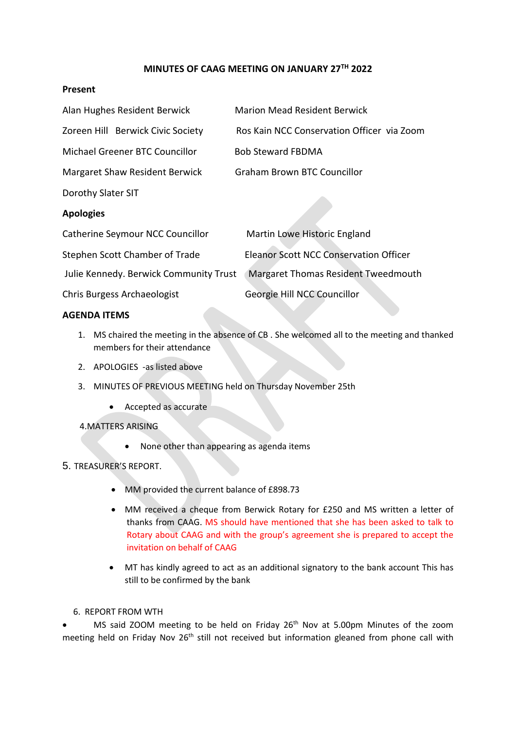# **MINUTES OF CAAG MEETING ON JANUARY 27TH 2022**

### **Present**

| Alan Hughes Resident Berwick           | <b>Marion Mead Resident Berwick</b>           |
|----------------------------------------|-----------------------------------------------|
| Zoreen Hill Berwick Civic Society      | Ros Kain NCC Conservation Officer via Zoom    |
| Michael Greener BTC Councillor         | <b>Bob Steward FBDMA</b>                      |
| Margaret Shaw Resident Berwick         | <b>Graham Brown BTC Councillor</b>            |
| Dorothy Slater SIT                     |                                               |
| <b>Apologies</b>                       |                                               |
| Catherine Seymour NCC Councillor       | Martin Lowe Historic England                  |
| Stephen Scott Chamber of Trade         | <b>Eleanor Scott NCC Conservation Officer</b> |
| Julie Kennedy. Berwick Community Trust | <b>Margaret Thomas Resident Tweedmouth</b>    |
| Chris Burgess Archaeologist            | Georgie Hill NCC Councillor                   |

### **AGENDA ITEMS**

- 1. MS chaired the meeting in the absence of CB . She welcomed all to the meeting and thanked members for their attendance
- 2. APOLOGIES -as listed above
- 3. MINUTES OF PREVIOUS MEETING held on Thursday November 25th
	- Accepted as accurate

4.MATTERS ARISING

• None other than appearing as agenda items

## 5. TREASURER'S REPORT.

- MM provided the current balance of £898.73
- MM received a cheque from Berwick Rotary for £250 and MS written a letter of thanks from CAAG. MS should have mentioned that she has been asked to talk to Rotary about CAAG and with the group's agreement she is prepared to accept the invitation on behalf of CAAG
- MT has kindly agreed to act as an additional signatory to the bank account This has still to be confirmed by the bank

# 6. REPORT FROM WTH

MS said ZOOM meeting to be held on Friday  $26<sup>th</sup>$  Nov at 5.00pm Minutes of the zoom meeting held on Friday Nov 26<sup>th</sup> still not received but information gleaned from phone call with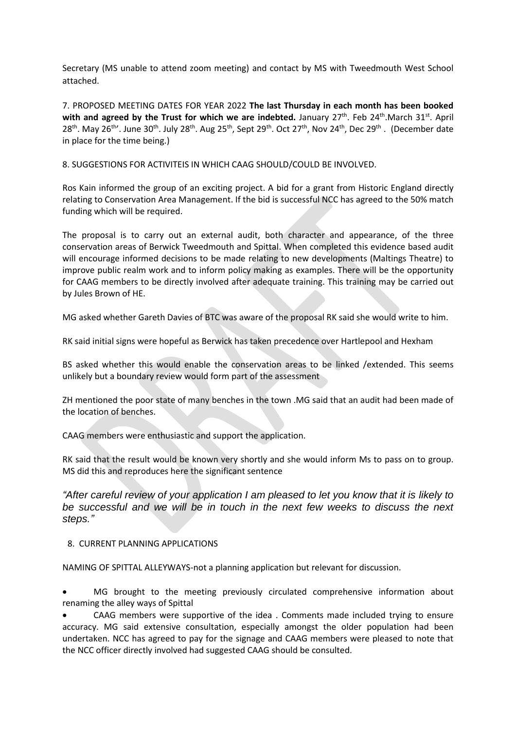Secretary (MS unable to attend zoom meeting) and contact by MS with Tweedmouth West School attached.

7. PROPOSED MEETING DATES FOR YEAR 2022 **The last Thursday in each month has been booked** with and agreed by the Trust for which we are indebted. January 27<sup>th</sup>. Feb 24<sup>th</sup>.March 31<sup>st</sup>. April 28<sup>th</sup>. May 26<sup>th</sup>'. June 30<sup>th</sup>. July 28<sup>th</sup>. Aug 25<sup>th</sup>, Sept 29<sup>th</sup>. Oct 27<sup>th</sup>, Nov 24<sup>th</sup>, Dec 29<sup>th</sup>. (December date in place for the time being.)

8. SUGGESTIONS FOR ACTIVITEIS IN WHICH CAAG SHOULD/COULD BE INVOLVED.

Ros Kain informed the group of an exciting project. A bid for a grant from Historic England directly relating to Conservation Area Management. If the bid is successful NCC has agreed to the 50% match funding which will be required.

The proposal is to carry out an external audit, both character and appearance, of the three conservation areas of Berwick Tweedmouth and Spittal. When completed this evidence based audit will encourage informed decisions to be made relating to new developments (Maltings Theatre) to improve public realm work and to inform policy making as examples. There will be the opportunity for CAAG members to be directly involved after adequate training. This training may be carried out by Jules Brown of HE.

MG asked whether Gareth Davies of BTC was aware of the proposal RK said she would write to him.

RK said initial signs were hopeful as Berwick has taken precedence over Hartlepool and Hexham

BS asked whether this would enable the conservation areas to be linked /extended. This seems unlikely but a boundary review would form part of the assessment

ZH mentioned the poor state of many benches in the town .MG said that an audit had been made of the location of benches.

CAAG members were enthusiastic and support the application.

RK said that the result would be known very shortly and she would inform Ms to pass on to group. MS did this and reproduces here the significant sentence

*"After careful review of your application I am pleased to let you know that it is likely to be successful and we will be in touch in the next few weeks to discuss the next steps."*

8. CURRENT PLANNING APPLICATIONS

NAMING OF SPITTAL ALLEYWAYS-not a planning application but relevant for discussion.

• MG brought to the meeting previously circulated comprehensive information about renaming the alley ways of Spittal

• CAAG members were supportive of the idea . Comments made included trying to ensure accuracy. MG said extensive consultation, especially amongst the older population had been undertaken. NCC has agreed to pay for the signage and CAAG members were pleased to note that the NCC officer directly involved had suggested CAAG should be consulted.